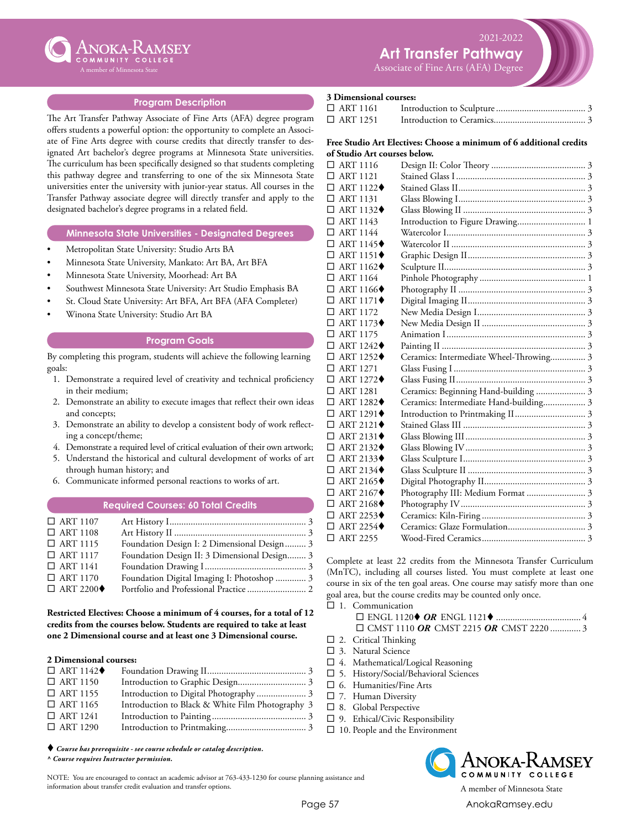

A member of Minnesota State

# 2021-2022 **Art Transfer Pathway**

Associate of Fine Arts (AFA) Degree

# **Program Description**

The Art Transfer Pathway Associate of Fine Arts (AFA) degree program offers students a powerful option: the opportunity to complete an Associate of Fine Arts degree with course credits that directly transfer to designated Art bachelor's degree programs at Minnesota State universities. The curriculum has been specifically designed so that students completing this pathway degree and transferring to one of the six Minnesota State universities enter the university with junior-year status. All courses in the Transfer Pathway associate degree will directly transfer and apply to the designated bachelor's degree programs in a related field.

## **Minnesota State Universities - Designated Degrees**

- Metropolitan State University: Studio Arts BA
- Minnesota State University, Mankato: Art BA, Art BFA
- Minnesota State University, Moorhead: Art BA
- Southwest Minnesota State University: Art Studio Emphasis BA
- St. Cloud State University: Art BFA, Art BFA (AFA Completer)
- Winona State University: Studio Art BA

#### **Program Goals**

By completing this program, students will achieve the following learning goals:

- 1. Demonstrate a required level of creativity and technical proficiency in their medium;
- 2. Demonstrate an ability to execute images that reflect their own ideas and concepts;
- 3. Demonstrate an ability to develop a consistent body of work reflecting a concept/theme;
- 4. Demonstrate a required level of critical evaluation of their own artwork;
- 5. Understand the historical and cultural development of works of art through human history; and
- 6. Communicate informed personal reactions to works of art.

### **Required Courses: 60 Total Credits**

| $\Box$ ART 1107                 |                                              |  |
|---------------------------------|----------------------------------------------|--|
| $\Box$ ART 1108                 |                                              |  |
| $\Box$ ART 1115                 | Foundation Design I: 2 Dimensional Design 3  |  |
| $\Box$ ART 1117                 | Foundation Design II: 3 Dimensional Design 3 |  |
| $\Box$ ART 1141                 |                                              |  |
| $\Box$ ART 1170                 | Foundation Digital Imaging I: Photoshop  3   |  |
| $\Box$ ART 2200 $\blacklozenge$ |                                              |  |
|                                 |                                              |  |

## **Restricted Electives: Choose a minimum of 4 courses, for a total of 12 credits from the courses below. Students are required to take at least one 2 Dimensional course and at least one 3 Dimensional course.**

#### **2 Dimensional courses:**

| $\Box$ ART 1142 $\blacklozenge$ |                                                  |  |
|---------------------------------|--------------------------------------------------|--|
| $\Box$ ART 1150                 |                                                  |  |
| $\Box$ ART 1155                 | Introduction to Digital Photography  3           |  |
| $\Box$ ART 1165                 | Introduction to Black & White Film Photography 3 |  |
| $\Box$ ART 1241                 |                                                  |  |
| $\Box$ ART 1290                 |                                                  |  |

 *Course has prerequisite - see course schedule or catalog description. ^ Course requires Instructor permission.*

NOTE: You are encouraged to contact an academic advisor at 763-433-1230 for course planning assistance and information about transfer credit evaluation and transfer options. A member of Minnesota State

# **3 Dimensional courses:**

| $\Box$ ART 1161 |  |
|-----------------|--|
| $\Box$ ART 1251 |  |

## **Free Studio Art Electives: Choose a minimum of 6 additional credits of Studio Art courses below.**

| $\Box$ ART 1116                 |                                         |
|---------------------------------|-----------------------------------------|
| $\Box$ ART 1121                 |                                         |
| $\Box$ ART 1122 $\blacklozenge$ |                                         |
| $\Box$ ART 1131                 |                                         |
| $\Box$ ART 1132 $\blacklozenge$ |                                         |
| $\Box$ ART 1143                 | Introduction to Figure Drawing 1        |
| $\Box$ ART 1144                 |                                         |
| $\Box$ ART 1145 $\blacklozenge$ |                                         |
| $\Box$ ART 1151 $\blacklozenge$ |                                         |
| $\Box$ ART 1162 $\blacklozenge$ |                                         |
| $\Box$ ART 1164                 |                                         |
| $\Box$ ART 1166 $\blacklozenge$ |                                         |
| $\Box$ ART 1171 $\blacklozenge$ |                                         |
| $\Box$ ART 1172                 |                                         |
| $\Box$ ART 1173 $\blacklozenge$ |                                         |
| $\Box$ ART 1175                 |                                         |
| $\Box$ ART 1242 $\blacklozenge$ |                                         |
| $\Box$ ART 1252 $\blacklozenge$ | Ceramics: Intermediate Wheel-Throwing 3 |
| $\Box$ ART 1271                 |                                         |
| $\Box$ ART 1272 $\blacklozenge$ |                                         |
| $\Box$ ART 1281                 | Ceramics: Beginning Hand-building  3    |
| $\Box$ ART 1282 $\blacklozenge$ | Ceramics: Intermediate Hand-building 3  |
| $\Box$ ART 1291 $\blacklozenge$ |                                         |
| $\Box$ ART 2121 $\blacklozenge$ |                                         |
| $\Box$ ART 2131 $\blacklozenge$ |                                         |
| $\Box$ ART 2132 $\blacklozenge$ |                                         |
| $\Box$ ART 2133 $\blacklozenge$ |                                         |
| $\Box$ ART 2134 $\blacklozenge$ |                                         |
| $\Box$ ART 2165 $\blacklozenge$ |                                         |
| $\Box$ ART 2167 $\blacklozenge$ | Photography III: Medium Format  3       |
| $\Box$ ART 2168 $\blacklozenge$ |                                         |
| $\Box$ ART 2253 $\blacklozenge$ |                                         |
| $\Box$ ART 2254 $\blacklozenge$ |                                         |
| □ ART 2255                      |                                         |
|                                 |                                         |

Complete at least 22 credits from the Minnesota Transfer Curriculum (MnTC), including all courses listed. You must complete at least one course in six of the ten goal areas. One course may satisfy more than one goal area, but the course credits may be counted only once.

 $\square$  1. Communication

|  |  | $\Box$ CMST 1110 OR CMST 2215 OR CMST 2220 3 |  |
|--|--|----------------------------------------------|--|
|  |  |                                              |  |

- $\square$  2. Critical Thinking
- $\square$  3. Natural Science
- $\square$  4. Mathematical/Logical Reasoning
- $\square$  5. History/Social/Behavioral Sciences
- $\square$  6. Humanities/Fine Arts
- $\square$  7. Human Diversity
- $\square$  8. Global Perspective
- $\square$  9. Ethical/Civic Responsibility
- $\square$  10. People and the Environment



Page 57 [AnokaRamsey.e](http://www.anokaramsey.edu/)du